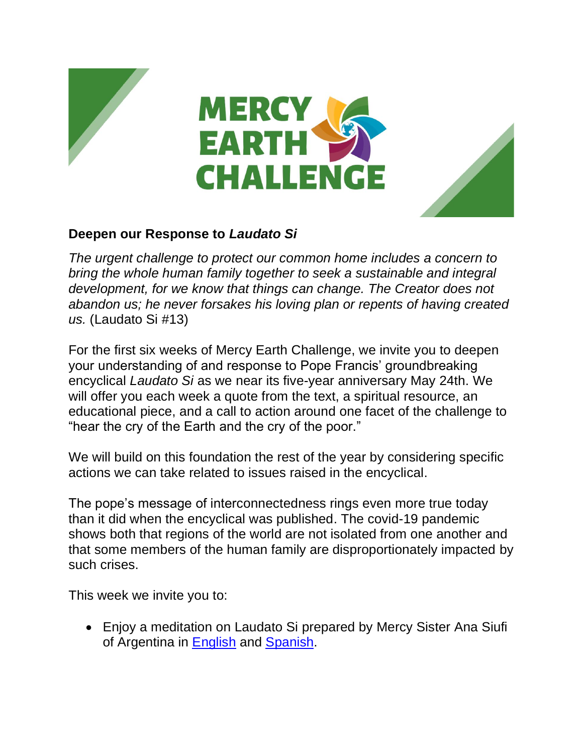





## **Deepen our Response to** *Laudato Si*

*The urgent challenge to protect our common home includes a concern to bring the whole human family together to seek a sustainable and integral development, for we know that things can change. The Creator does not abandon us; he never forsakes his loving plan or repents of having created us.* (Laudato Si #13)

For the first six weeks of Mercy Earth Challenge, we invite you to deepen your understanding of and response to Pope Francis' groundbreaking encyclical *Laudato Si* as we near its five-year anniversary May 24th. We will offer you each week a quote from the text, a spiritual resource, an educational piece, and a call to action around one facet of the challenge to "hear the cry of the Earth and the cry of the poor."

We will build on this foundation the rest of the year by considering specific actions we can take related to issues raised in the encyclical.

The pope's message of interconnectedness rings even more true today than it did when the encyclical was published. The covid-19 pandemic shows both that regions of the world are not isolated from one another and that some members of the human family are disproportionately impacted by such crises.

This week we invite you to:

• Enjoy a meditation on Laudato Si prepared by Mercy Sister Ana Siufi of Argentina in [English](https://www.youtube.com/watch?v=yeTS5cxwL2w&feature=youtu.be) and [Spanish.](https://www.youtube.com/watch?v=PwhrcOckiXs)